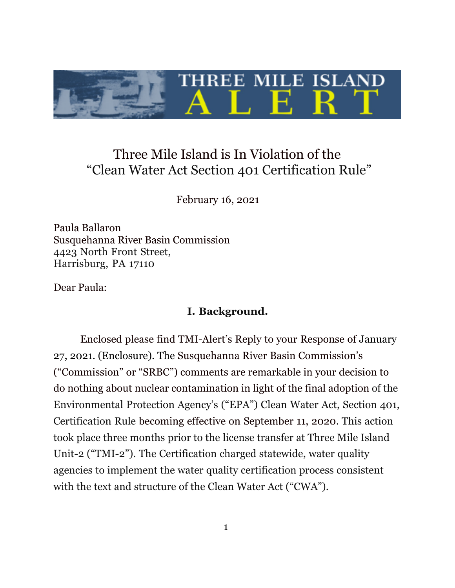

# Three Mile Island is In Violation of the "Clean Water Act Section 401 Certification Rule"

February 16, 2021

Paula Ballaron Susquehanna River Basin Commission 4423 North Front Street, Harrisburg, PA 17110

Dear Paula:

#### **I. Background.**

Enclosed please find TMI-Alert's Reply to your Response of January 27, 2021. (Enclosure). The Susquehanna River Basin Commission's ("Commission" or "SRBC") comments are remarkable in your decision to do nothing about nuclear contamination in light of the final adoption of the Environmental Protection Agency's ("EPA") Clean Water Act, Section 401, Certification Rule becoming effective on September 11, 2020. This action took place three months prior to the license transfer at Three Mile Island Unit-2 ("TMI-2"). The Certification charged statewide, water quality agencies to implement the water quality certification process consistent with the text and structure of the Clean Water Act ("CWA").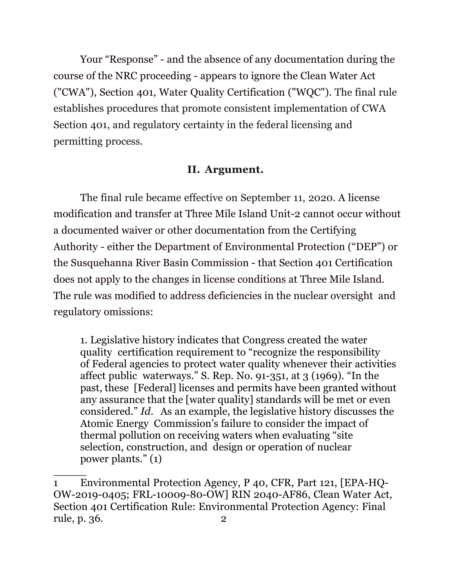Your "Response" - and the absence of any documentation during the course of the NRC proceeding - appears to ignore the Clean Water Act ("CWA"), Section 401, Water Quality Certification ("WQC"). The final rule establishes procedures that promote consistent implementation of CWA Section 401, and regulatory certainty in the federal licensing and permitting process.

### **II. Argument.**

The final rule became effective on September 11, 2020*.* A license modification and transfer at Three Mile Island Unit-2 cannot occur without a documented waiver or other documentation from the Certifying Authority - either the Department of Environmental Protection ("DEP") or the Susquehanna River Basin Commission - that Section 401 Certification does not apply to the changes in license conditions at Three Mile Island. The rule was modified to address deficiencies in the nuclear oversight and regulatory omissions:

1. Legislative history indicates that Congress created the water quality certification requirement to "recognize the responsibility of Federal agencies to protect water quality whenever their activities affect public waterways." S. Rep. No. 91-351, at 3 (1969). "In the past, these [Federal] licenses and permits have been granted without any assurance that the [water quality] standards will be met or even considered." *Id*. As an example, the legislative history discusses the Atomic Energy Commission's failure to consider the impact of thermal pollution on receiving waters when evaluating "site selection, construction, and design or operation of nuclear power plants." (1)

<sup>1</sup> Environmental Protection Agency, P 40, CFR, Part 121, [EPA-HQ-OW-2019-0405; FRL-10009-80-OW] RIN 2040-AF86, Clean Water Act, Section 401 Certification Rule: Environmental Protection Agency: Final rule, p. 36. 2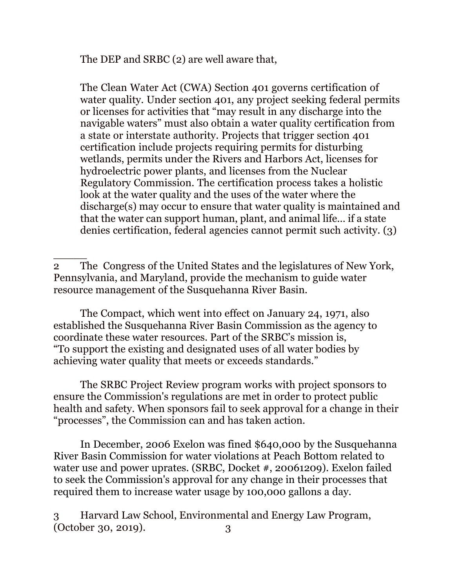The DEP and SRBC (2) are well aware that,

The Clean Water Act (CWA) Section 401 governs certification of water quality. Under section 401, any project seeking federal permits or licenses for activities that "may result in any discharge into the navigable waters" must also obtain a water quality certification from a state or interstate authority. Projects that trigger section 401 certification include projects requiring permits for disturbing wetlands, permits under the Rivers and Harbors Act, licenses for hydroelectric power plants, and licenses from the Nuclear Regulatory Commission. The certification process takes a holistic look at the water quality and the uses of the water where the discharge(s) may occur to ensure that water quality is maintained and that the water can support human, plant, and animal life… if a state denies certification, federal agencies cannot permit such activity. (3)

 $\overline{\phantom{a}}$ 2 The Congress of the United States and the legislatures of New York, Pennsylvania, and Maryland, provide the mechanism to guide water resource management of the Susquehanna River Basin.

The Compact, which went into effect on January 24, 1971, also established the Susquehanna River Basin Commission as the agency to coordinate these water resources. Part of the SRBC's mission is, "To support the existing and designated uses of all water bodies by achieving water quality that meets or exceeds standards."

The SRBC Project Review program works with project sponsors to ensure the Commission's regulations are met in order to protect public health and safety. When sponsors fail to seek approval for a change in their "processes", the Commission can and has taken action.

In December, 2006 Exelon was fined \$640,000 by the Susquehanna River Basin Commission for water violations at Peach Bottom related to water use and power uprates. (SRBC, Docket #, 20061209). Exelon failed to seek the Commission's approval for any change in their processes that required them to increase water usage by 100,000 gallons a day.

3 Harvard Law School, Environmental and Energy Law Program, (October 30, 2019). 3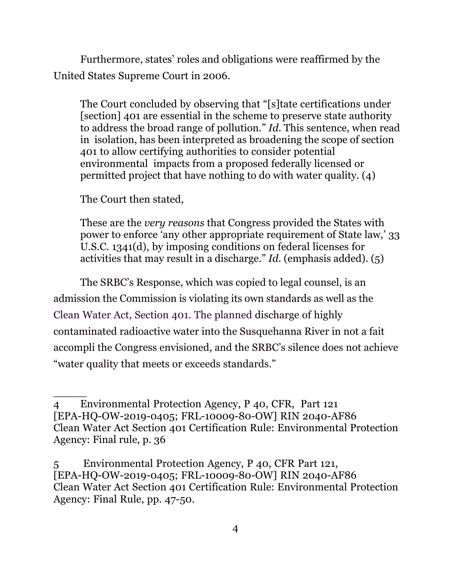Furthermore, states' roles and obligations were reaffirmed by the United States Supreme Court in 2006.

The Court concluded by observing that "[s]tate certifications under [section] 401 are essential in the scheme to preserve state authority to address the broad range of pollution." *Id.* This sentence, when read in isolation, has been interpreted as broadening the scope of section 401 to allow certifying authorities to consider potential environmental impacts from a proposed federally licensed or permitted project that have nothing to do with water quality. (4)

The Court then stated,

 $\overline{\phantom{a}}$ 

These are the *very reasons* that Congress provided the States with power to enforce 'any other appropriate requirement of State law,' 33 U.S.C. 1341(d), by imposing conditions on federal licenses for activities that may result in a discharge." *Id.* (emphasis added). (5)

The SRBC's Response, which was copied to legal counsel, is an admission the Commission is violating its own standards as well as the Clean Water Act, Section 401. The planned discharge of highly contaminated radioactive water into the Susquehanna River in not a fait accompli the Congress envisioned, and the SRBC's silence does not achieve "water quality that meets or exceeds standards."

<sup>4</sup> Environmental Protection Agency, P 40, CFR, Part 121 [EPA-HQ-OW-2019-0405; FRL-10009-80-OW] RIN 2040-AF86 Clean Water Act Section 401 Certification Rule: Environmental Protection Agency: Final rule, p. 36

<sup>5</sup> Environmental Protection Agency, P 40, CFR Part 121, [EPA-HQ-OW-2019-0405; FRL-10009-80-OW] RIN 2040-AF86 Clean Water Act Section 401 Certification Rule: Environmental Protection Agency: Final Rule, pp. 47-50.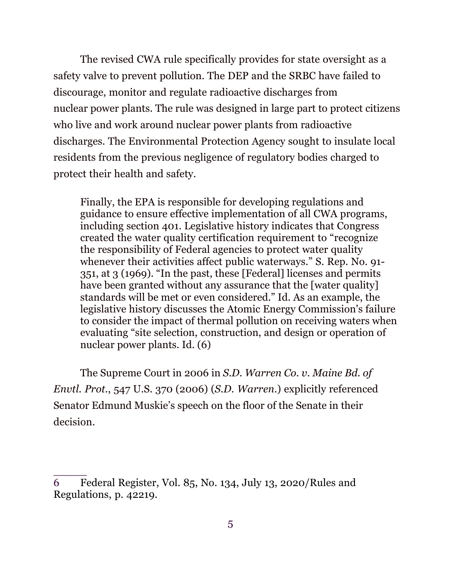The revised CWA rule specifically provides for state oversight as a safety valve to prevent pollution. The DEP and the SRBC have failed to discourage, monitor and regulate radioactive discharges from nuclear power plants. The rule was designed in large part to protect citizens who live and work around nuclear power plants from radioactive discharges. The Environmental Protection Agency sought to insulate local residents from the previous negligence of regulatory bodies charged to protect their health and safety.

Finally, the EPA is responsible for developing regulations and guidance to ensure effective implementation of all CWA programs, including section 401. Legislative history indicates that Congress created the water quality certification requirement to "recognize the responsibility of Federal agencies to protect water quality whenever their activities affect public waterways." S. Rep. No. 91- 351, at 3 (1969). "In the past, these [Federal] licenses and permits have been granted without any assurance that the [water quality] standards will be met or even considered." Id. As an example, the legislative history discusses the Atomic Energy Commission's failure to consider the impact of thermal pollution on receiving waters when evaluating "site selection, construction, and design or operation of nuclear power plants. Id. (6)

The Supreme Court in 2006 in *S.D. Warren Co. v. Maine Bd. of Envtl. Prot.*, 547 U.S. 370 (2006) (*S.D. Warren*.) explicitly referenced Senator Edmund Muskie's speech on the floor of the Senate in their decision.

<sup>6</sup> Federal Register, Vol. 85, No. 134, July 13, 2020/Rules and Regulations, p. 42219.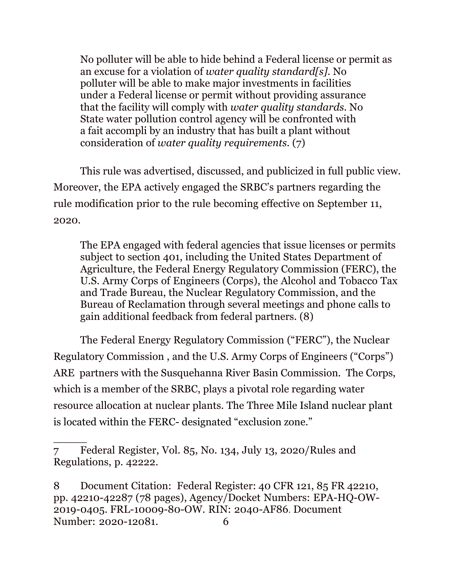No polluter will be able to hide behind a Federal license or permit as an excuse for a violation of *water quality standard[s].* No polluter will be able to make major investments in facilities under a Federal license or permit without providing assurance that the facility will comply with *water quality standards.* No State water pollution control agency will be confronted with a fait accompli by an industry that has built a plant without consideration of *water quality requirements.* (7)

This rule was advertised, discussed, and publicized in full public view. Moreover, the EPA actively engaged the SRBC's partners regarding the rule modification prior to the rule becoming effective on September 11, 2020.

The EPA engaged with federal agencies that issue licenses or permits subject to section 401, including the United States Department of Agriculture, the Federal Energy Regulatory Commission (FERC), the U.S. Army Corps of Engineers (Corps), the Alcohol and Tobacco Tax and Trade Bureau, the Nuclear Regulatory Commission, and the Bureau of Reclamation through several meetings and phone calls to gain additional feedback from federal partners. (8)

The Federal Energy Regulatory Commission ("FERC"), the Nuclear Regulatory Commission , and the U.S. Army Corps of Engineers ("Corps") ARE partners with the Susquehanna River Basin Commission. The Corps, which is a member of the SRBC, plays a pivotal role regarding water resource allocation at nuclear plants. The Three Mile Island nuclear plant is located within the FERC- designated "exclusion zone."

<sup>7</sup> Federal Register, Vol. 85, No. 134, July 13, 2020/Rules and Regulations, p. 42222.

<sup>8</sup> Document Citation: Federal Register: 40 CFR 121, 85 FR 42210, pp. 42210-42287 (78 pages), Agency/Docket Numbers: EPA-HQ-OW-2019-0405. FRL-10009-80-OW. RIN: 2040-AF86. Document Number: 2020-12081. 6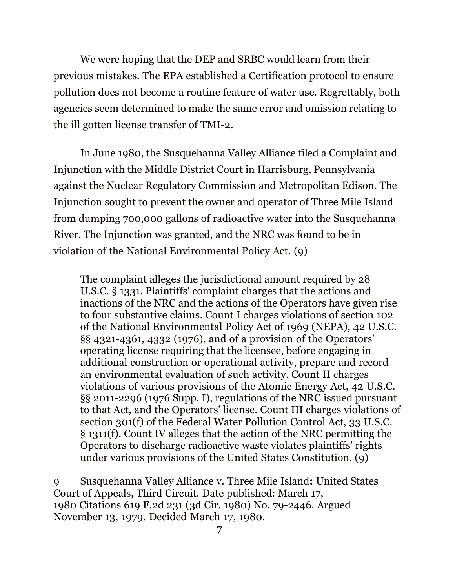We were hoping that the DEP and SRBC would learn from their previous mistakes. The EPA established a Certification protocol to ensure pollution does not become a routine feature of water use. Regrettably, both agencies seem determined to make the same error and omission relating to the ill gotten license transfer of TMI-2.

In June 1980, the Susquehanna Valley Alliance filed a Complaint and Injunction with the Middle District Court in Harrisburg, Pennsylvania against the Nuclear Regulatory Commission and Metropolitan Edison. The Injunction sought to prevent the owner and operator of Three Mile Island from dumping 700,000 gallons of radioactive water into the Susquehanna River. The Injunction was granted, and the NRC was found to be in violation of the National Environmental Policy Act. (9)

The complaint alleges the jurisdictional amount required by 28 U.S.C. § 1331. Plaintiffs' complaint charges that the actions and inactions of the NRC and the actions of the Operators have given rise to four substantive claims. Count I charges violations of section 102 of the National Environmental Policy Act of 1969 (NEPA), 42 U.S.C. §§ 4321-4361, 4332 (1976), and of a provision of the Operators' operating license requiring that the licensee, before engaging in additional construction or operational activity, prepare and record an environmental evaluation of such activity. Count II charges violations of various provisions of the Atomic Energy Act, 42 U.S.C. §§ 2011-2296 (1976 Supp. I), regulations of the NRC issued pursuant to that Act, and the Operators' license. Count III charges violations of section 301(f) of the Federal Water Pollution Control Act, 33 U.S.C. § 1311(f). Count IV alleges that the action of the NRC permitting the Operators to discharge radioactive waste violates plaintiffs' rights under various provisions of the United States Constitution. (9)

<sup>9</sup> Susquehanna Valley Alliance v. Three Mile Island**:** United States Court of Appeals, Third Circuit. Date published: March 17, 1980 Citations 619 F.2d 231 (3d Cir. 1980) No. 79-2446. Argued November 13, 1979. Decided March 17, 1980.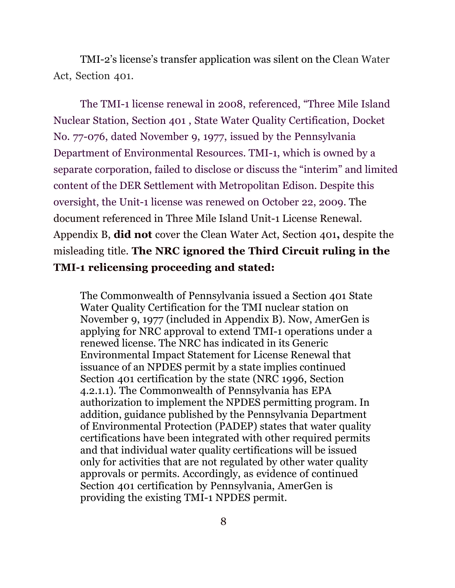TMI-2's license's transfer application was silent on the Clean Water Act, Section 401.

The TMI-1 license renewal in 2008, referenced, "Three Mile Island Nuclear Station, Section 401 , State Water Quality Certification, Docket No. 77-076, dated November 9, 1977, issued by the Pennsylvania Department of Environmental Resources. TMI-1, which is owned by a separate corporation, failed to disclose or discuss the "interim" and limited content of the DER Settlement with Metropolitan Edison. Despite this oversight, the Unit-1 license was renewed on October 22, 2009. The document referenced in Three Mile Island Unit-1 License Renewal. Appendix B, **did not** cover the Clean Water Act, Section 401**,** despite the misleading title. **The NRC ignored the Third Circuit ruling in the TMI-1 relicensing proceeding and stated:** 

The Commonwealth of Pennsylvania issued a Section 401 State Water Quality Certification for the TMI nuclear station on November 9, 1977 (included in Appendix B). Now, AmerGen is applying for NRC approval to extend TMI-1 operations under a renewed license. The NRC has indicated in its Generic Environmental Impact Statement for License Renewal that issuance of an NPDES permit by a state implies continued Section 401 certification by the state (NRC 1996, Section 4.2.1.1). The Commonwealth of Pennsylvania has EPA authorization to implement the NPDES permitting program. In addition, guidance published by the Pennsylvania Department of Environmental Protection (PADEP) states that water quality certifications have been integrated with other required permits and that individual water quality certifications will be issued only for activities that are not regulated by other water quality approvals or permits. Accordingly, as evidence of continued Section 401 certification by Pennsylvania, AmerGen is providing the existing TMI-1 NPDES permit.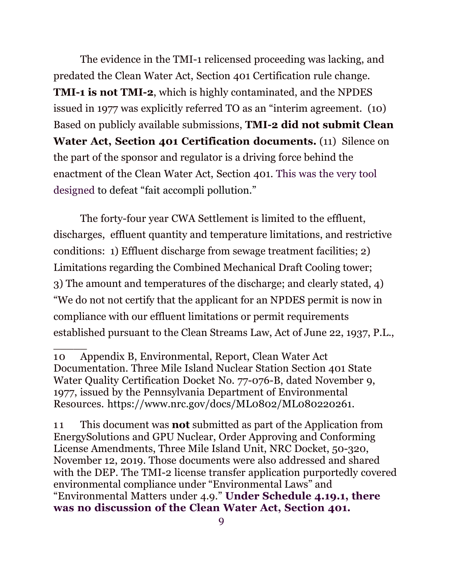The evidence in the TMI-1 relicensed proceeding was lacking, and predated the Clean Water Act, Section 401 Certification rule change. **TMI-1 is not TMI-2**, which is highly contaminated, and the NPDES issued in 1977 was explicitly referred TO as an "interim agreement. (10) Based on publicly available submissions, **TMI-2 did not submit Clean Water Act, Section 401 Certification documents.** (11) Silence on the part of the sponsor and regulator is a driving force behind the enactment of the Clean Water Act, Section 401. This was the very tool designed to defeat "fait accompli pollution."

The forty-four year CWA Settlement is limited to the effluent, discharges, effluent quantity and temperature limitations, and restrictive conditions: 1) Effluent discharge from sewage treatment facilities; 2) Limitations regarding the Combined Mechanical Draft Cooling tower; 3) The amount and temperatures of the discharge; and clearly stated, 4) "We do not not certify that the applicant for an NPDES permit is now in compliance with our effluent limitations or permit requirements established pursuant to the Clean Streams Law, Act of June 22, 1937, P.L.,

<sup>10</sup> Appendix B, Environmental, Report, Clean Water Act Documentation. Three Mile Island Nuclear Station Section 401 State Water Quality Certification Docket No. 77-076-B, dated November 9, 1977, issued by the Pennsylvania Department of Environmental Resources. https://www.nrc.gov/docs/ML0802/ML080220261.

<sup>1 1</sup> This document was **not** submitted as part of the Application from EnergySolutions and GPU Nuclear, Order Approving and Conforming License Amendments, Three Mile Island Unit, NRC Docket, 50-320, November 12, 2019. Those documents were also addressed and shared with the DEP. The TMI-2 license transfer application purportedly covered environmental compliance under "Environmental Laws" and "Environmental Matters under 4.9." **Under Schedule 4.19.1, there was no discussion of the Clean Water Act, Section 401.**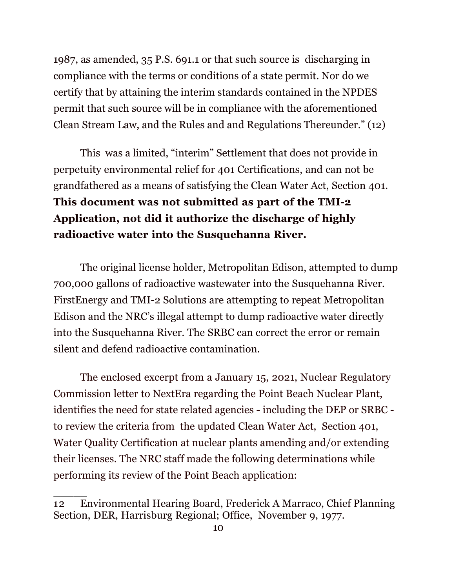1987, as amended, 35 P.S. 691.1 or that such source is discharging in compliance with the terms or conditions of a state permit. Nor do we certify that by attaining the interim standards contained in the NPDES permit that such source will be in compliance with the aforementioned Clean Stream Law, and the Rules and and Regulations Thereunder." (12)

This was a limited, "interim" Settlement that does not provide in perpetuity environmental relief for 401 Certifications, and can not be grandfathered as a means of satisfying the Clean Water Act, Section 401. **This document was not submitted as part of the TMI-2 Application, not did it authorize the discharge of highly radioactive water into the Susquehanna River.** 

The original license holder, Metropolitan Edison, attempted to dump 700,000 gallons of radioactive wastewater into the Susquehanna River. FirstEnergy and TMI-2 Solutions are attempting to repeat Metropolitan Edison and the NRC's illegal attempt to dump radioactive water directly into the Susquehanna River. The SRBC can correct the error or remain silent and defend radioactive contamination.

 The enclosed excerpt from a January 15, 2021, Nuclear Regulatory Commission letter to NextEra regarding the Point Beach Nuclear Plant, identifies the need for state related agencies - including the DEP or SRBC to review the criteria from the updated Clean Water Act, Section 401, Water Quality Certification at nuclear plants amending and/or extending their licenses. The NRC staff made the following determinations while performing its review of the Point Beach application:

<sup>12</sup> Environmental Hearing Board, Frederick A Marraco, Chief Planning Section, DER, Harrisburg Regional; Office, November 9, 1977.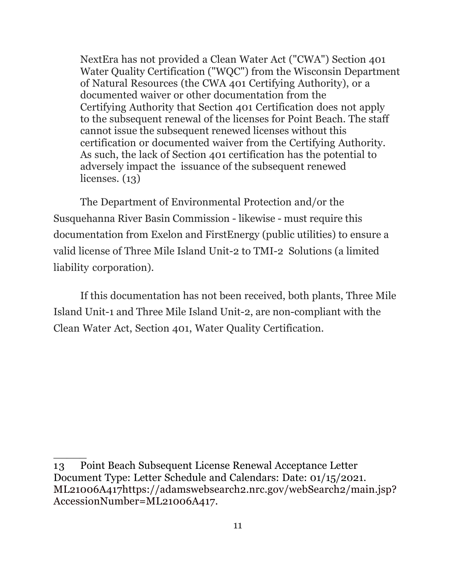NextEra has not provided a Clean Water Act ("CWA") Section 401 Water Quality Certification ("WQC") from the Wisconsin Department of Natural Resources (the CWA 401 Certifying Authority), or a documented waiver or other documentation from the Certifying Authority that Section 401 Certification does not apply to the subsequent renewal of the licenses for Point Beach. The staff cannot issue the subsequent renewed licenses without this certification or documented waiver from the Certifying Authority. As such, the lack of Section 401 certification has the potential to adversely impact the issuance of the subsequent renewed licenses. (13)

The Department of Environmental Protection and/or the Susquehanna River Basin Commission - likewise - must require this documentation from Exelon and FirstEnergy (public utilities) to ensure a valid license of Three Mile Island Unit-2 to TMI-2 Solutions (a limited liability corporation).

If this documentation has not been received, both plants, Three Mile Island Unit-1 and Three Mile Island Unit-2, are non-compliant with the Clean Water Act, Section 401, Water Quality Certification.

<sup>13</sup> Point Beach Subsequent License Renewal Acceptance Letter Document Type: Letter Schedule and Calendars: Date: 01/15/2021. ML21006A417https://adamswebsearch2.nrc.gov/webSearch2/main.jsp? AccessionNumber=ML21006A417.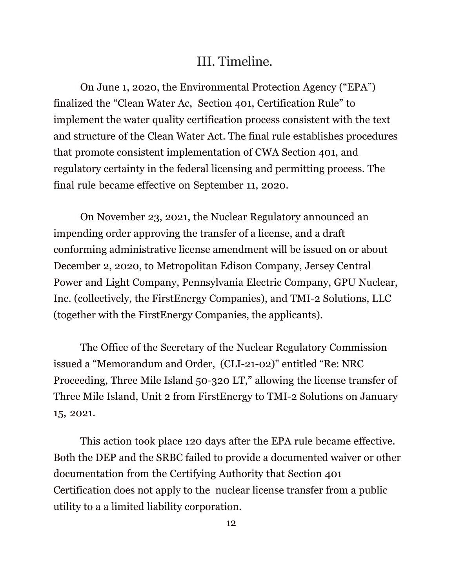## III. Timeline.

On June 1, 2020, the Environmental Protection Agency ("EPA") finalized the "Clean Water Ac, Section 401, Certification Rule" to implement the water quality certification process consistent with the text and structure of the Clean Water Act. The final rule establishes procedures that promote consistent implementation of CWA Section 401, and regulatory certainty in the federal licensing and permitting process. The final rule became effective on September 11, 2020*.*

On November 23, 2021, the Nuclear Regulatory announced an impending order approving the transfer of a license, and a draft conforming administrative license amendment will be issued on or about December 2, 2020, to Metropolitan Edison Company, Jersey Central Power and Light Company, Pennsylvania Electric Company, GPU Nuclear, Inc. (collectively, the FirstEnergy Companies), and TMI-2 Solutions, LLC (together with the FirstEnergy Companies, the applicants).

The Office of the Secretary of the Nuclear Regulatory Commission issued a "Memorandum and Order, (CLI-21-02)" entitled "Re: NRC Proceeding, Three Mile Island 50-320 LT," allowing the license transfer of Three Mile Island, Unit 2 from FirstEnergy to TMI-2 Solutions on January 15, 2021.

This action took place 120 days after the EPA rule became effective. Both the DEP and the SRBC failed to provide a documented waiver or other documentation from the Certifying Authority that Section 401 Certification does not apply to the nuclear license transfer from a public utility to a a limited liability corporation.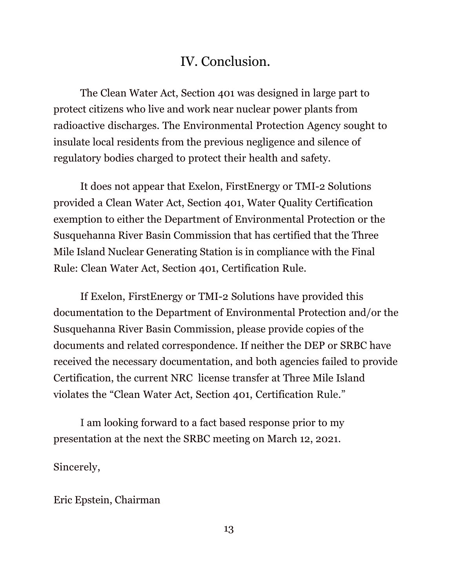## IV. Conclusion.

The Clean Water Act, Section 401 was designed in large part to protect citizens who live and work near nuclear power plants from radioactive discharges. The Environmental Protection Agency sought to insulate local residents from the previous negligence and silence of regulatory bodies charged to protect their health and safety.

It does not appear that Exelon, FirstEnergy or TMI-2 Solutions provided a Clean Water Act, Section 401, Water Quality Certification exemption to either the Department of Environmental Protection or the Susquehanna River Basin Commission that has certified that the Three Mile Island Nuclear Generating Station is in compliance with the Final Rule: Clean Water Act, Section 401, Certification Rule.

If Exelon, FirstEnergy or TMI-2 Solutions have provided this documentation to the Department of Environmental Protection and/or the Susquehanna River Basin Commission, please provide copies of the documents and related correspondence. If neither the DEP or SRBC have received the necessary documentation, and both agencies failed to provide Certification, the current NRC license transfer at Three Mile Island violates the "Clean Water Act, Section 401, Certification Rule."

I am looking forward to a fact based response prior to my presentation at the next the SRBC meeting on March 12, 2021.

Sincerely,

Eric Epstein, Chairman